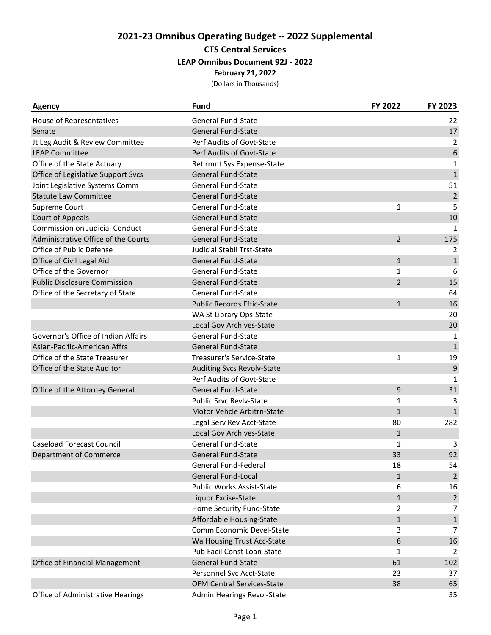## **2021-23 Omnibus Operating Budget -- 2022 Supplemental CTS Central Services**

**LEAP Omnibus Document 92J - 2022**

**February 21, 2022**

(Dollars in Thousands)

| Agency                                | Fund                              | FY 2022        | FY 2023        |
|---------------------------------------|-----------------------------------|----------------|----------------|
| House of Representatives              | <b>General Fund-State</b>         |                | 22             |
| Senate                                | <b>General Fund-State</b>         |                | 17             |
| Jt Leg Audit & Review Committee       | Perf Audits of Govt-State         |                | 2              |
| <b>LEAP Committee</b>                 | Perf Audits of Govt-State         |                | 6              |
| Office of the State Actuary           | Retirmnt Sys Expense-State        |                | $\mathbf{1}$   |
| Office of Legislative Support Svcs    | <b>General Fund-State</b>         |                | $\mathbf 1$    |
| Joint Legislative Systems Comm        | <b>General Fund-State</b>         |                | 51             |
| <b>Statute Law Committee</b>          | <b>General Fund-State</b>         |                | $\overline{2}$ |
| Supreme Court                         | <b>General Fund-State</b>         | $\mathbf{1}$   | 5              |
| <b>Court of Appeals</b>               | <b>General Fund-State</b>         |                | 10             |
| <b>Commission on Judicial Conduct</b> | <b>General Fund-State</b>         |                | $\mathbf{1}$   |
| Administrative Office of the Courts   | <b>General Fund-State</b>         | $\overline{2}$ | 175            |
| Office of Public Defense              | Judicial Stabil Trst-State        |                | 2              |
| Office of Civil Legal Aid             | <b>General Fund-State</b>         | $\mathbf{1}$   | $\mathbf{1}$   |
| Office of the Governor                | General Fund-State                | 1              | 6              |
| <b>Public Disclosure Commission</b>   | <b>General Fund-State</b>         | $\overline{2}$ | 15             |
| Office of the Secretary of State      | <b>General Fund-State</b>         |                | 64             |
|                                       | <b>Public Records Effic-State</b> | $\mathbf{1}$   | 16             |
|                                       | WA St Library Ops-State           |                | 20             |
|                                       | Local Gov Archives-State          |                | 20             |
| Governor's Office of Indian Affairs   | <b>General Fund-State</b>         |                | 1              |
| Asian-Pacific-American Affrs          | <b>General Fund-State</b>         |                | $\mathbf{1}$   |
| Office of the State Treasurer         | Treasurer's Service-State         | 1              | 19             |
| Office of the State Auditor           | Auditing Svcs Revolv-State        |                | $\overline{9}$ |
|                                       | Perf Audits of Govt-State         |                | $\mathbf{1}$   |
| Office of the Attorney General        | <b>General Fund-State</b>         | 9              | 31             |
|                                       | <b>Public Srvc Revlv-State</b>    | 1              | 3              |
|                                       | Motor Vehcle Arbitrn-State        | $\mathbf{1}$   | $\mathbf{1}$   |
|                                       | Legal Serv Rev Acct-State         | 80             | 282            |
|                                       | <b>Local Gov Archives-State</b>   | $\mathbf{1}$   |                |
| <b>Caseload Forecast Council</b>      | <b>General Fund-State</b>         | 1              | 3              |
| <b>Department of Commerce</b>         | <b>General Fund-State</b>         | 33             | 92             |
|                                       | General Fund-Federal              | 18             | 54             |
|                                       | <b>General Fund-Local</b>         | $\mathbf{1}$   | $\overline{2}$ |
|                                       | <b>Public Works Assist-State</b>  | 6              | 16             |
|                                       | Liquor Excise-State               | $\mathbf{1}$   | $\overline{2}$ |
|                                       | Home Security Fund-State          | $\overline{2}$ | 7              |
|                                       | Affordable Housing-State          | $\mathbf{1}$   | $\mathbf{1}$   |
|                                       | Comm Economic Devel-State         | 3              | $\overline{7}$ |
|                                       | Wa Housing Trust Acc-State        | 6              | 16             |
|                                       | Pub Facil Const Loan-State        | 1              | 2              |
|                                       | <b>General Fund-State</b>         |                |                |
| Office of Financial Management        | Personnel Svc Acct-State          | 61             | 102            |
|                                       |                                   | 23<br>38       | 37             |
|                                       | <b>OFM Central Services-State</b> |                | 65             |
| Office of Administrative Hearings     | Admin Hearings Revol-State        |                | 35             |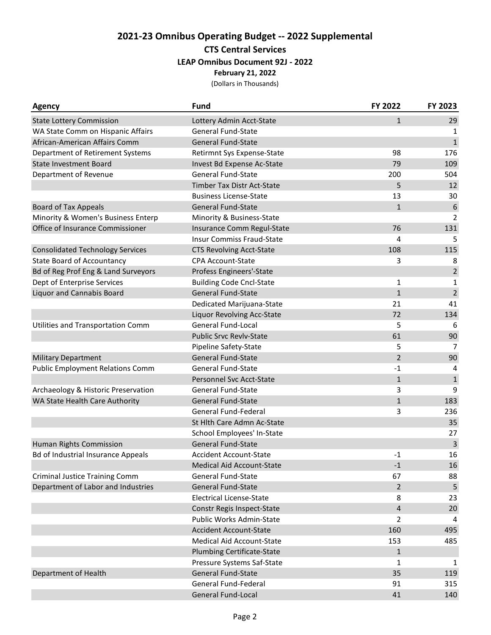# **2021-23 Omnibus Operating Budget -- 2022 Supplemental CTS Central Services LEAP Omnibus Document 92J - 2022**

**February 21, 2022**

(Dollars in Thousands)

| <b>Agency</b>                             | <b>Fund</b>                      | FY 2022        | FY 2023                 |
|-------------------------------------------|----------------------------------|----------------|-------------------------|
| <b>State Lottery Commission</b>           | Lottery Admin Acct-State         | $\mathbf{1}$   | 29                      |
| WA State Comm on Hispanic Affairs         | <b>General Fund-State</b>        |                | 1                       |
| African-American Affairs Comm             | <b>General Fund-State</b>        |                | $\mathbf{1}$            |
| Department of Retirement Systems          | Retirmnt Sys Expense-State       | 98             | 176                     |
| <b>State Investment Board</b>             | Invest Bd Expense Ac-State       | 79             | 109                     |
| Department of Revenue                     | <b>General Fund-State</b>        | 200            | 504                     |
|                                           | Timber Tax Distr Act-State       | 5              | 12                      |
|                                           | <b>Business License-State</b>    | 13             | 30                      |
| <b>Board of Tax Appeals</b>               | <b>General Fund-State</b>        | $\mathbf{1}$   | 6                       |
| Minority & Women's Business Enterp        | Minority & Business-State        |                | 2                       |
| Office of Insurance Commissioner          | Insurance Comm Regul-State       | 76             | 131                     |
|                                           | <b>Insur Commiss Fraud-State</b> | 4              | 5                       |
| <b>Consolidated Technology Services</b>   | <b>CTS Revolving Acct-State</b>  | 108            | 115                     |
| <b>State Board of Accountancy</b>         | <b>CPA Account-State</b>         | 3              | 8                       |
| Bd of Reg Prof Eng & Land Surveyors       | Profess Engineers'-State         |                | $\overline{2}$          |
| Dept of Enterprise Services               | <b>Building Code Cncl-State</b>  | 1              | 1                       |
| <b>Liquor and Cannabis Board</b>          | <b>General Fund-State</b>        | $\mathbf{1}$   | $\overline{2}$          |
|                                           | Dedicated Marijuana-State        | 21             | 41                      |
|                                           | Liquor Revolving Acc-State       | 72             | 134                     |
| Utilities and Transportation Comm         | General Fund-Local               | 5              | 6                       |
|                                           | <b>Public Srvc Revlv-State</b>   | 61             | 90                      |
|                                           | Pipeline Safety-State            | 5              | 7                       |
| <b>Military Department</b>                | <b>General Fund-State</b>        | 2              | 90                      |
| <b>Public Employment Relations Comm</b>   | General Fund-State               | $-1$           | 4                       |
|                                           | Personnel Svc Acct-State         | $\mathbf{1}$   | $\mathbf{1}$            |
| Archaeology & Historic Preservation       | <b>General Fund-State</b>        | 3              | 9                       |
| WA State Health Care Authority            | <b>General Fund-State</b>        | $\mathbf{1}$   | 183                     |
|                                           | General Fund-Federal             | 3              | 236                     |
|                                           | St Hlth Care Admn Ac-State       |                | 35                      |
|                                           | School Employees' In-State       |                | 27                      |
| Human Rights Commission                   | <b>General Fund-State</b>        |                | $\overline{\mathbf{3}}$ |
| <b>Bd of Industrial Insurance Appeals</b> | <b>Accident Account-State</b>    | $-1$           | 16                      |
|                                           | Medical Aid Account-State        | $-1$           | 16                      |
| <b>Criminal Justice Training Comm</b>     | <b>General Fund-State</b>        | 67             | 88                      |
| Department of Labor and Industries        | <b>General Fund-State</b>        | $\overline{2}$ | 5                       |
|                                           | <b>Electrical License-State</b>  | 8              | 23                      |
|                                           | Constr Regis Inspect-State       | 4              | 20                      |
|                                           | <b>Public Works Admin-State</b>  | $\overline{2}$ | 4                       |
|                                           | <b>Accident Account-State</b>    | 160            | 495                     |
|                                           | Medical Aid Account-State        | 153            | 485                     |
|                                           | Plumbing Certificate-State       | $\mathbf{1}$   |                         |
|                                           | Pressure Systems Saf-State       | 1              | 1                       |
| Department of Health                      | <b>General Fund-State</b>        | 35             | 119                     |
|                                           | General Fund-Federal             | 91             | 315                     |
|                                           | General Fund-Local               | 41             | 140                     |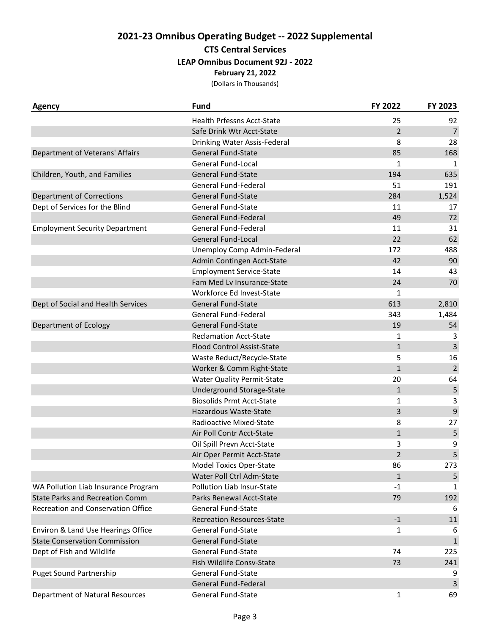## **2021-23 Omnibus Operating Budget -- 2022 Supplemental CTS Central Services**

### **LEAP Omnibus Document 92J - 2022**

**February 21, 2022**

(Dollars in Thousands)

| <b>Agency</b>                          | <b>Fund</b>                       | FY 2022        | FY 2023        |
|----------------------------------------|-----------------------------------|----------------|----------------|
|                                        | Health Prfessns Acct-State        | 25             | 92             |
|                                        | Safe Drink Wtr Acct-State         | $\overline{2}$ | $\overline{7}$ |
|                                        | Drinking Water Assis-Federal      | 8              | 28             |
| Department of Veterans' Affairs        | <b>General Fund-State</b>         | 85             | 168            |
|                                        | General Fund-Local                | $\mathbf{1}$   | 1              |
| Children, Youth, and Families          | <b>General Fund-State</b>         | 194            | 635            |
|                                        | General Fund-Federal              | 51             | 191            |
| <b>Department of Corrections</b>       | <b>General Fund-State</b>         | 284            | 1,524          |
| Dept of Services for the Blind         | <b>General Fund-State</b>         | 11             | 17             |
|                                        | General Fund-Federal              | 49             | 72             |
| <b>Employment Security Department</b>  | General Fund-Federal              | 11             | 31             |
|                                        | <b>General Fund-Local</b>         | 22             | 62             |
|                                        | Unemploy Comp Admin-Federal       | 172            | 488            |
|                                        | Admin Contingen Acct-State        | 42             | 90             |
|                                        | <b>Employment Service-State</b>   | 14             | 43             |
|                                        | Fam Med Lv Insurance-State        | 24             | 70             |
|                                        | Workforce Ed Invest-State         | 1              |                |
| Dept of Social and Health Services     | <b>General Fund-State</b>         | 613            | 2,810          |
|                                        | General Fund-Federal              | 343            | 1,484          |
| Department of Ecology                  | <b>General Fund-State</b>         | 19             | 54             |
|                                        | <b>Reclamation Acct-State</b>     | 1              | 3              |
|                                        | <b>Flood Control Assist-State</b> | $\mathbf{1}$   | 3              |
|                                        | Waste Reduct/Recycle-State        | 5              | 16             |
|                                        | Worker & Comm Right-State         | $\mathbf{1}$   | $\mathbf 2$    |
|                                        | <b>Water Quality Permit-State</b> | 20             | 64             |
|                                        | Underground Storage-State         | $\mathbf{1}$   | 5              |
|                                        | <b>Biosolids Prmt Acct-State</b>  | 1              | 3              |
|                                        | Hazardous Waste-State             | 3              | $\mathsf g$    |
|                                        | Radioactive Mixed-State           | 8              | 27             |
|                                        | Air Poll Contr Acct-State         | $\mathbf{1}$   | 5              |
|                                        | Oil Spill Prevn Acct-State        | 3              | 9              |
|                                        | Air Oper Permit Acct-State        | $\overline{2}$ | 5              |
|                                        | <b>Model Toxics Oper-State</b>    | 86             | 273            |
|                                        | Water Poll Ctrl Adm-State         | $\mathbf{1}$   | 5              |
| WA Pollution Liab Insurance Program    | Pollution Liab Insur-State        | $-1$           | 1              |
| <b>State Parks and Recreation Comm</b> | Parks Renewal Acct-State          | 79             | 192            |
| Recreation and Conservation Office     | <b>General Fund-State</b>         |                | 6              |
|                                        | <b>Recreation Resources-State</b> | $-1$           | 11             |
| Environ & Land Use Hearings Office     | <b>General Fund-State</b>         | 1              | 6              |
| <b>State Conservation Commission</b>   | <b>General Fund-State</b>         |                | $\mathbf{1}$   |
| Dept of Fish and Wildlife              | <b>General Fund-State</b>         | 74             | 225            |
|                                        | Fish Wildlife Consv-State         | 73             | 241            |
| <b>Puget Sound Partnership</b>         | <b>General Fund-State</b>         |                | 9              |
|                                        | General Fund-Federal              |                | 3              |
| Department of Natural Resources        | General Fund-State                | 1              | 69             |